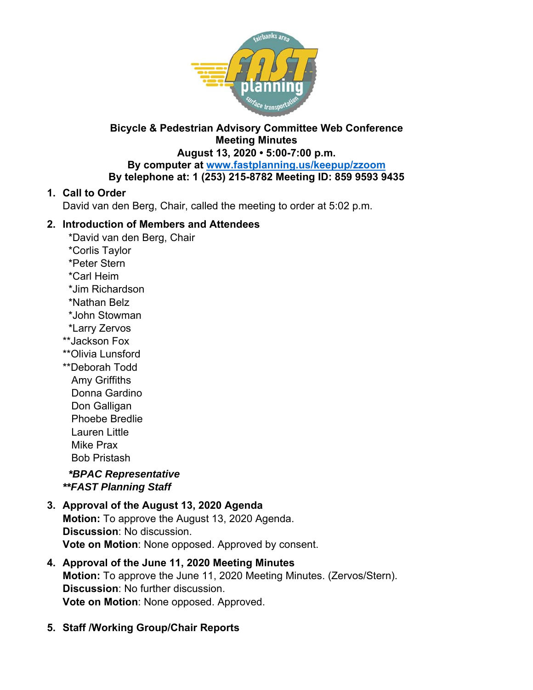

# **Bicycle & Pedestrian Advisory Committee Web Conference Meeting Minutes**

# **August 13, 2020 • 5:00-7:00 p.m. By computer at www.fastplanning.us/keepup/zzoom**

## **By telephone at: 1 (253) 215-8782 Meeting ID: 859 9593 9435**

# **1. Call to Order**

David van den Berg, Chair, called the meeting to order at 5:02 p.m.

## **2. Introduction of Members and Attendees**

- \*David van den Berg, Chair
- \*Corlis Taylor
- \*Peter Stern
- \*Carl Heim
- \*Jim Richardson
- \*Nathan Belz
- \*John Stowman
- \*Larry Zervos
- \*\*Jackson Fox
- \*\*Olivia Lunsford
- \*\*Deborah Todd Amy Griffiths Donna Gardino Don Galligan Phoebe Bredlie

 Lauren Little Mike Prax

Bob Pristash

 *\*BPAC Representative \*\*FAST Planning Staff* 

### **3. Approval of the August 13, 2020 Agenda Motion:** To approve the August 13, 2020 Agenda. **Discussion**: No discussion. **Vote on Motion**: None opposed. Approved by consent.

- **4. Approval of the June 11, 2020 Meeting Minutes Motion:** To approve the June 11, 2020 Meeting Minutes. (Zervos/Stern). **Discussion**: No further discussion. **Vote on Motion**: None opposed. Approved.
- **5. Staff /Working Group/Chair Reports**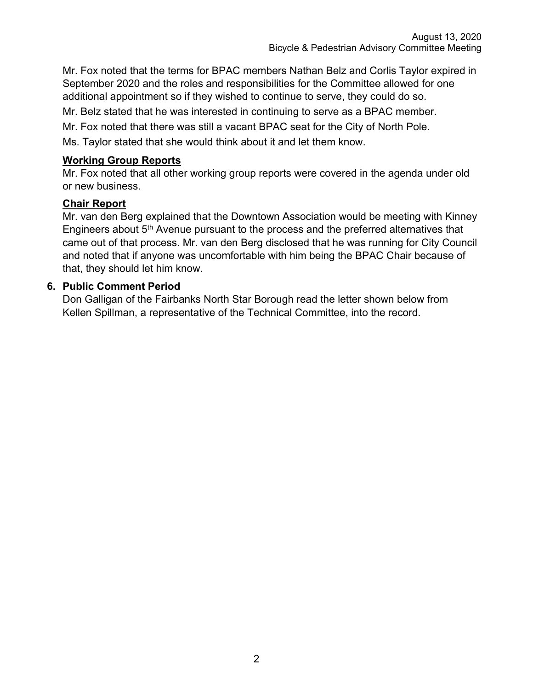Mr. Fox noted that the terms for BPAC members Nathan Belz and Corlis Taylor expired in September 2020 and the roles and responsibilities for the Committee allowed for one additional appointment so if they wished to continue to serve, they could do so.

Mr. Belz stated that he was interested in continuing to serve as a BPAC member.

Mr. Fox noted that there was still a vacant BPAC seat for the City of North Pole.

Ms. Taylor stated that she would think about it and let them know.

### **Working Group Reports**

Mr. Fox noted that all other working group reports were covered in the agenda under old or new business.

### **Chair Report**

Mr. van den Berg explained that the Downtown Association would be meeting with Kinney Engineers about 5<sup>th</sup> Avenue pursuant to the process and the preferred alternatives that came out of that process. Mr. van den Berg disclosed that he was running for City Council and noted that if anyone was uncomfortable with him being the BPAC Chair because of that, they should let him know.

### **6. Public Comment Period**

Don Galligan of the Fairbanks North Star Borough read the letter shown below from Kellen Spillman, a representative of the Technical Committee, into the record.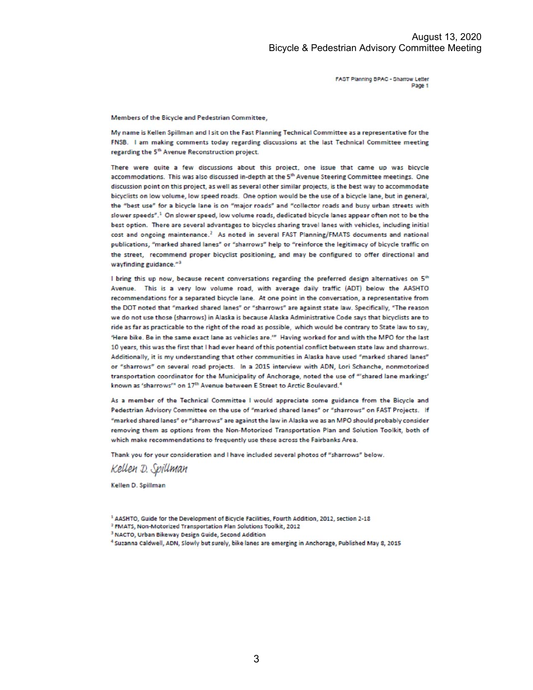FAST Planning BPAC - Sharrow Letter Page 1

Members of the Bicycle and Pedestrian Committee,

My name is Kellen Spillman and I sit on the Fast Planning Technical Committee as a representative for the FNSB. I am making comments today regarding discussions at the last Technical Committee meeting regarding the 5<sup>th</sup> Avenue Reconstruction project.

There were quite a few discussions about this project, one issue that came up was bicycle accommodations. This was also discussed in-depth at the 5th Avenue Steering Committee meetings. One discussion point on this project, as well as several other similar projects, is the best way to accommodate bicyclists on low volume, low speed roads. One option would be the use of a bicycle lane, but in general, the "best use" for a bicycle lane is on "major roads" and "collector roads and busy urban streets with slower speeds".<sup>1</sup> On slower speed, low volume roads, dedicated bicycle lanes appear often not to be the best option. There are several advantages to bicycles sharing travel lanes with vehicles, including initial cost and ongoing maintenance.<sup>2</sup> As noted in several FAST Planning/FMATS documents and national publications, "marked shared lanes" or "sharrows" help to "reinforce the legitimacy of bicycle traffic on the street, recommend proper bicyclist positioning, and may be configured to offer directional and wayfinding guidance."3

I bring this up now, because recent conversations regarding the preferred design alternatives on 5th Avenue. This is a very low volume road, with average daily traffic (ADT) below the AASHTO recommendations for a separated bicycle lane. At one point in the conversation, a representative from the DOT noted that "marked shared lanes" or "sharrows" are against state law. Specifically, "The reason we do not use those (sharrows) in Alaska is because Alaska Administrative Code says that bicyclists are to ride as far as practicable to the right of the road as possible, which would be contrary to State law to say, 'Here bike. Be in the same exact lane as vehicles are."" Having worked for and with the MPO for the last 10 years, this was the first that I had ever heard of this potential conflict between state law and sharrows. Additionally, it is my understanding that other communities in Alaska have used "marked shared lanes" or "sharrows" on several road projects. In a 2015 interview with ADN, Lori Schanche, nonmotorized transportation coordinator for the Municipality of Anchorage, noted the use of "'shared lane markings' known as 'sharrows'" on 17<sup>th</sup> Avenue between E Street to Arctic Boulevard.<sup>4</sup>

As a member of the Technical Committee I would appreciate some guidance from the Bicycle and Pedestrian Advisory Committee on the use of "marked shared lanes" or "sharrows" on FAST Projects. If "marked shared lanes" or "sharrows" are against the law in Alaska we as an MPO should probably consider removing them as options from the Non-Motorized Transportation Plan and Solution Toolkit, both of which make recommendations to frequently use these across the Fairbanks Area.

Thank you for your consideration and I have included several photos of "sharrows" below.

Kellen D. Spillman

Kellen D. Spillman

<sup>2</sup> FMATS, Non-Motorized Transportation Plan Solutions Toolkit, 2012

<sup>&</sup>lt;sup>1</sup> AASHTO, Guide for the Development of Bicycle Facilities, Fourth Addition, 2012, section 2-18

<sup>&</sup>lt;sup>3</sup> NACTO, Urban Bikeway Design Guide, Second Addition

<sup>&</sup>lt;sup>4</sup> Suzanna Caldwell, ADN, Slowly but surely, bike lanes are emerging in Anchorage, Published May 8, 2015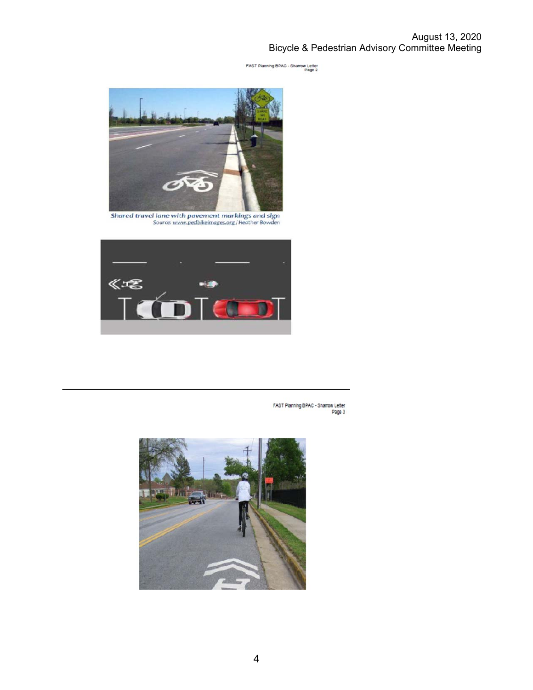August 13, 2020 Bicycle & Pedestrian Advisory Committee Meeting

FAST Planning BPAC - Sharrow Letter<br>Page 2



Shared travel lane with pavement markings and sign<br>Source: www.pedbikelmages.org/Heather Bowden



FAST Planning BPAC - Sharrow Letter<br>Page 3

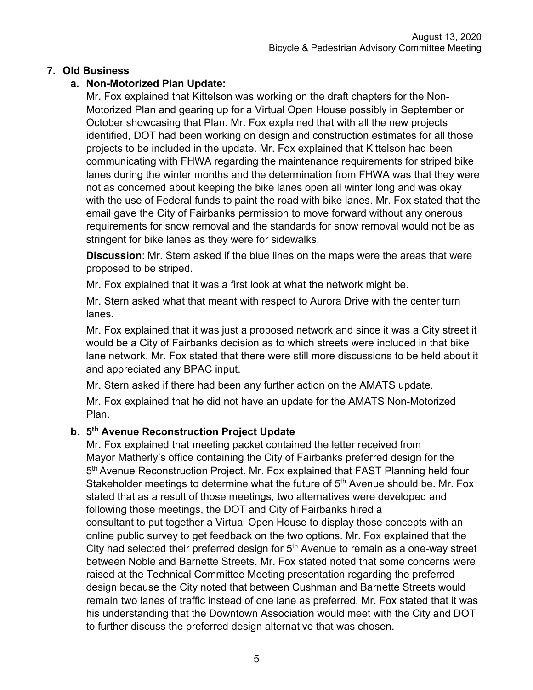## **7. Old Business**

# **a. Non-Motorized Plan Update:**

Mr. Fox explained that Kittelson was working on the draft chapters for the Non-Motorized Plan and gearing up for a Virtual Open House possibly in September or October showcasing that Plan. Mr. Fox explained that with all the new projects identified, DOT had been working on design and construction estimates for all those projects to be included in the update. Mr. Fox explained that Kittelson had been communicating with FHWA regarding the maintenance requirements for striped bike lanes during the winter months and the determination from FHWA was that they were not as concerned about keeping the bike lanes open all winter long and was okay with the use of Federal funds to paint the road with bike lanes. Mr. Fox stated that the email gave the City of Fairbanks permission to move forward without any onerous requirements for snow removal and the standards for snow removal would not be as stringent for bike lanes as they were for sidewalks.

**Discussion**: Mr. Stern asked if the blue lines on the maps were the areas that were proposed to be striped.

Mr. Fox explained that it was a first look at what the network might be.

Mr. Stern asked what that meant with respect to Aurora Drive with the center turn lanes.

Mr. Fox explained that it was just a proposed network and since it was a City street it would be a City of Fairbanks decision as to which streets were included in that bike lane network. Mr. Fox stated that there were still more discussions to be held about it and appreciated any BPAC input.

Mr. Stern asked if there had been any further action on the AMATS update.

Mr. Fox explained that he did not have an update for the AMATS Non-Motorized Plan.

## **b. 5th Avenue Reconstruction Project Update**

Mr. Fox explained that meeting packet contained the letter received from Mayor Matherly's office containing the City of Fairbanks preferred design for the 5<sup>th</sup> Avenue Reconstruction Project. Mr. Fox explained that FAST Planning held four Stakeholder meetings to determine what the future of 5<sup>th</sup> Avenue should be. Mr. Fox stated that as a result of those meetings, two alternatives were developed and following those meetings, the DOT and City of Fairbanks hired a consultant to put together a Virtual Open House to display those concepts with an online public survey to get feedback on the two options. Mr. Fox explained that the City had selected their preferred design for  $5<sup>th</sup>$  Avenue to remain as a one-way street between Noble and Barnette Streets. Mr. Fox stated noted that some concerns were raised at the Technical Committee Meeting presentation regarding the preferred design because the City noted that between Cushman and Barnette Streets would remain two lanes of traffic instead of one lane as preferred. Mr. Fox stated that it was his understanding that the Downtown Association would meet with the City and DOT to further discuss the preferred design alternative that was chosen.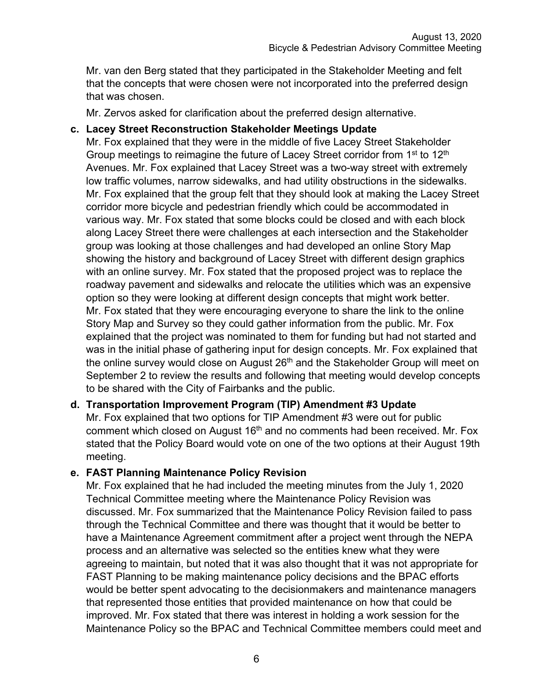Mr. van den Berg stated that they participated in the Stakeholder Meeting and felt that the concepts that were chosen were not incorporated into the preferred design that was chosen.

Mr. Zervos asked for clarification about the preferred design alternative.

### **c. Lacey Street Reconstruction Stakeholder Meetings Update**

Mr. Fox explained that they were in the middle of five Lacey Street Stakeholder Group meetings to reimagine the future of Lacey Street corridor from 1<sup>st</sup> to 12<sup>th</sup> Avenues. Mr. Fox explained that Lacey Street was a two-way street with extremely low traffic volumes, narrow sidewalks, and had utility obstructions in the sidewalks. Mr. Fox explained that the group felt that they should look at making the Lacey Street corridor more bicycle and pedestrian friendly which could be accommodated in various way. Mr. Fox stated that some blocks could be closed and with each block along Lacey Street there were challenges at each intersection and the Stakeholder group was looking at those challenges and had developed an online Story Map showing the history and background of Lacey Street with different design graphics with an online survey. Mr. Fox stated that the proposed project was to replace the roadway pavement and sidewalks and relocate the utilities which was an expensive option so they were looking at different design concepts that might work better. Mr. Fox stated that they were encouraging everyone to share the link to the online Story Map and Survey so they could gather information from the public. Mr. Fox explained that the project was nominated to them for funding but had not started and was in the initial phase of gathering input for design concepts. Mr. Fox explained that the online survey would close on August  $26<sup>th</sup>$  and the Stakeholder Group will meet on September 2 to review the results and following that meeting would develop concepts to be shared with the City of Fairbanks and the public.

### **d. Transportation Improvement Program (TIP) Amendment #3 Update**

Mr. Fox explained that two options for TIP Amendment #3 were out for public comment which closed on August 16<sup>th</sup> and no comments had been received. Mr. Fox stated that the Policy Board would vote on one of the two options at their August 19th meeting.

### **e. FAST Planning Maintenance Policy Revision**

Mr. Fox explained that he had included the meeting minutes from the July 1, 2020 Technical Committee meeting where the Maintenance Policy Revision was discussed. Mr. Fox summarized that the Maintenance Policy Revision failed to pass through the Technical Committee and there was thought that it would be better to have a Maintenance Agreement commitment after a project went through the NEPA process and an alternative was selected so the entities knew what they were agreeing to maintain, but noted that it was also thought that it was not appropriate for FAST Planning to be making maintenance policy decisions and the BPAC efforts would be better spent advocating to the decisionmakers and maintenance managers that represented those entities that provided maintenance on how that could be improved. Mr. Fox stated that there was interest in holding a work session for the Maintenance Policy so the BPAC and Technical Committee members could meet and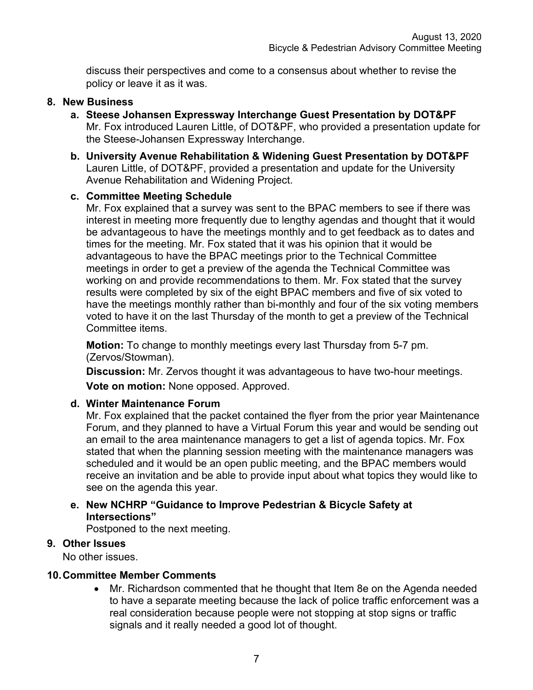discuss their perspectives and come to a consensus about whether to revise the policy or leave it as it was.

#### **8. New Business**

- **a. Steese Johansen Expressway Interchange Guest Presentation by DOT&PF** Mr. Fox introduced Lauren Little, of DOT&PF, who provided a presentation update for the Steese-Johansen Expressway Interchange.
- **b. University Avenue Rehabilitation & Widening Guest Presentation by DOT&PF**  Lauren Little, of DOT&PF, provided a presentation and update for the University Avenue Rehabilitation and Widening Project.

#### **c. Committee Meeting Schedule**

Mr. Fox explained that a survey was sent to the BPAC members to see if there was interest in meeting more frequently due to lengthy agendas and thought that it would be advantageous to have the meetings monthly and to get feedback as to dates and times for the meeting. Mr. Fox stated that it was his opinion that it would be advantageous to have the BPAC meetings prior to the Technical Committee meetings in order to get a preview of the agenda the Technical Committee was working on and provide recommendations to them. Mr. Fox stated that the survey results were completed by six of the eight BPAC members and five of six voted to have the meetings monthly rather than bi-monthly and four of the six voting members voted to have it on the last Thursday of the month to get a preview of the Technical Committee items.

**Motion:** To change to monthly meetings every last Thursday from 5-7 pm. (Zervos/Stowman).

**Discussion:** Mr. Zervos thought it was advantageous to have two-hour meetings.

**Vote on motion:** None opposed. Approved.

#### **d. Winter Maintenance Forum**

Mr. Fox explained that the packet contained the flyer from the prior year Maintenance Forum, and they planned to have a Virtual Forum this year and would be sending out an email to the area maintenance managers to get a list of agenda topics. Mr. Fox stated that when the planning session meeting with the maintenance managers was scheduled and it would be an open public meeting, and the BPAC members would receive an invitation and be able to provide input about what topics they would like to see on the agenda this year.

#### **e. New NCHRP "Guidance to Improve Pedestrian & Bicycle Safety at Intersections"**

Postponed to the next meeting.

#### **9. Other Issues**

No other issues.

#### **10. Committee Member Comments**

 Mr. Richardson commented that he thought that Item 8e on the Agenda needed to have a separate meeting because the lack of police traffic enforcement was a real consideration because people were not stopping at stop signs or traffic signals and it really needed a good lot of thought.